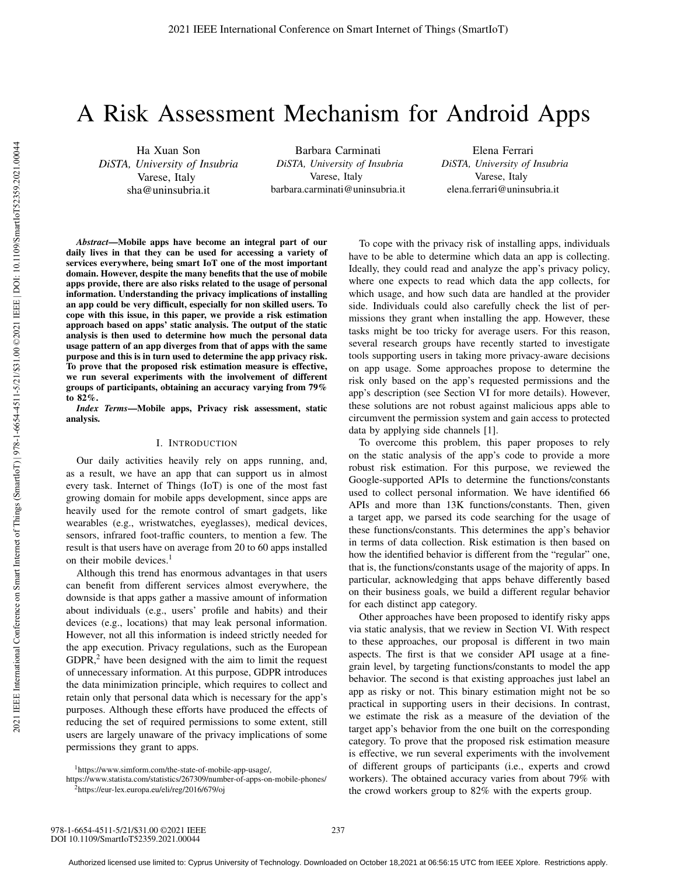# A Risk Assessment Mechanism for Android Apps

Ha Xuan Son *DiSTA, University of Insubria* Varese, Italy sha@uninsubria.it

Barbara Carminati *DiSTA, University of Insubria* Varese, Italy barbara.carminati@uninsubria.it

Elena Ferrari *DiSTA, University of Insubria* Varese, Italy elena.ferrari@uninsubria.it

*Abstract*—Mobile apps have become an integral part of our daily lives in that they can be used for accessing a variety of services everywhere, being smart IoT one of the most important domain. However, despite the many benefits that the use of mobile apps provide, there are also risks related to the usage of personal information. Understanding the privacy implications of installing an app could be very difficult, especially for non skilled users. To cope with this issue, in this paper, we provide a risk estimation approach based on apps' static analysis. The output of the static analysis is then used to determine how much the personal data usage pattern of an app diverges from that of apps with the same purpose and this is in turn used to determine the app privacy risk. To prove that the proposed risk estimation measure is effective, we run several experiments with the involvement of different groups of participants, obtaining an accuracy varying from 79% to 82%.

*Index Terms*—Mobile apps, Privacy risk assessment, static analysis.

# I. INTRODUCTION

Our daily activities heavily rely on apps running, and, as a result, we have an app that can support us in almost every task. Internet of Things (IoT) is one of the most fast growing domain for mobile apps development, since apps are heavily used for the remote control of smart gadgets, like wearables (e.g., wristwatches, eyeglasses), medical devices, sensors, infrared foot-traffic counters, to mention a few. The result is that users have on average from 20 to 60 apps installed on their mobile devices. $<sup>1</sup>$ </sup>

Although this trend has enormous advantages in that users can benefit from different services almost everywhere, the downside is that apps gather a massive amount of information about individuals (e.g., users' profile and habits) and their devices (e.g., locations) that may leak personal information. However, not all this information is indeed strictly needed for the app execution. Privacy regulations, such as the European  $GDPR<sub>2</sub><sup>2</sup>$  have been designed with the aim to limit the request of unnecessary information. At this purpose, GDPR introduces the data minimization principle, which requires to collect and retain only that personal data which is necessary for the app's purposes. Although these efforts have produced the effects of reducing the set of required permissions to some extent, still users are largely unaware of the privacy implications of some permissions they grant to apps.

To cope with the privacy risk of installing apps, individuals have to be able to determine which data an app is collecting. Ideally, they could read and analyze the app's privacy policy, where one expects to read which data the app collects, for which usage, and how such data are handled at the provider side. Individuals could also carefully check the list of permissions they grant when installing the app. However, these tasks might be too tricky for average users. For this reason, several research groups have recently started to investigate tools supporting users in taking more privacy-aware decisions on app usage. Some approaches propose to determine the risk only based on the app's requested permissions and the app's description (see Section VI for more details). However, these solutions are not robust against malicious apps able to circumvent the permission system and gain access to protected data by applying side channels [1]. To overcome this problem, this paper proposes to rely

on the static analysis of the app's code to provide a more robust risk estimation. For this purpose, we reviewed the Google-supported APIs to determine the functions/constants used to collect personal information. We have identified 66 APIs and more than 13K functions/constants. Then, given a target app, we parsed its code searching for the usage of these functions/constants. This determines the app's behavior in terms of data collection. Risk estimation is then based on how the identified behavior is different from the "regular" one, that is, the functions/constants usage of the majority of apps. In particular, acknowledging that apps behave differently based on their business goals, we build a different regular behavior for each distinct app category.

Other approaches have been proposed to identify risky apps via static analysis, that we review in Section VI. With respect to these approaches, our proposal is different in two main aspects. The first is that we consider API usage at a finegrain level, by targeting functions/constants to model the app behavior. The second is that existing approaches just label an app as risky or not. This binary estimation might not be so practical in supporting users in their decisions. In contrast, we estimate the risk as a measure of the deviation of the target app's behavior from the one built on the corresponding category. To prove that the proposed risk estimation measure is effective, we run several experiments with the involvement of different groups of participants (i.e., experts and crowd workers). The obtained accuracy varies from about 79% with the crowd workers group to 82% with the experts group.

<sup>1</sup>https://www.simform.com/the-state-of-mobile-app-usage/,

https://www.statista.com/statistics/267309/number-of-apps-on-mobile-phones/ 2https://eur-lex.europa.eu/eli/reg/2016/679/oj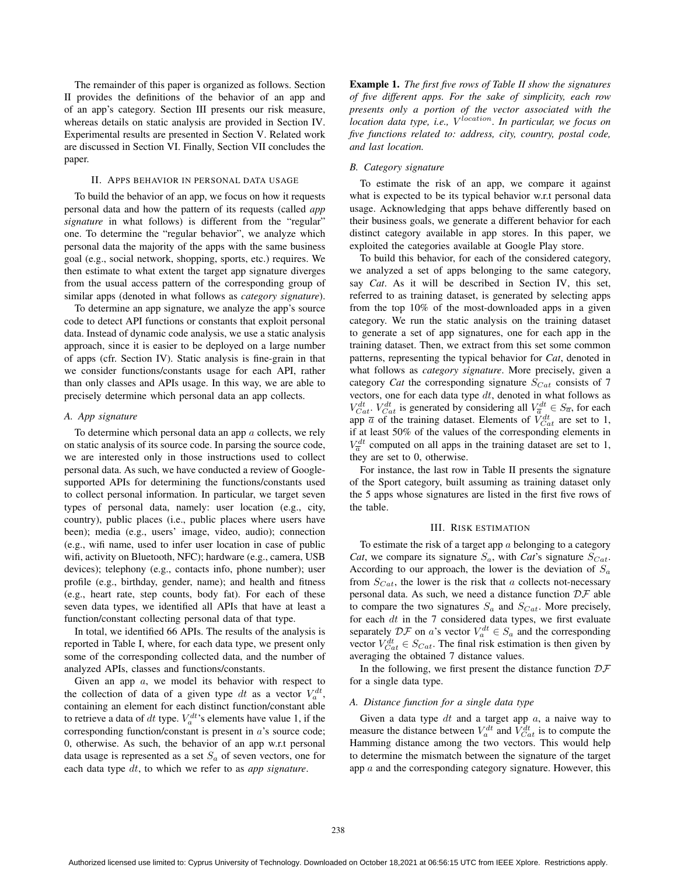The remainder of this paper is organized as follows. Section II provides the definitions of the behavior of an app and of an app's category. Section III presents our risk measure, whereas details on static analysis are provided in Section IV. Experimental results are presented in Section V. Related work are discussed in Section VI. Finally, Section VII concludes the paper.

## II. APPS BEHAVIOR IN PERSONAL DATA USAGE

To build the behavior of an app, we focus on how it requests personal data and how the pattern of its requests (called *app signature* in what follows) is different from the "regular" one. To determine the "regular behavior", we analyze which personal data the majority of the apps with the same business goal (e.g., social network, shopping, sports, etc.) requires. We then estimate to what extent the target app signature diverges from the usual access pattern of the corresponding group of similar apps (denoted in what follows as *category signature*).

To determine an app signature, we analyze the app's source code to detect API functions or constants that exploit personal data. Instead of dynamic code analysis, we use a static analysis approach, since it is easier to be deployed on a large number of apps (cfr. Section IV). Static analysis is fine-grain in that we consider functions/constants usage for each API, rather than only classes and APIs usage. In this way, we are able to precisely determine which personal data an app collects.

## *A. App signature*

To determine which personal data an app  $a$  collects, we rely on static analysis of its source code. In parsing the source code, we are interested only in those instructions used to collect personal data. As such, we have conducted a review of Googlesupported APIs for determining the functions/constants used to collect personal information. In particular, we target seven types of personal data, namely: user location (e.g., city, country), public places (i.e., public places where users have been); media (e.g., users' image, video, audio); connection (e.g., wifi name, used to infer user location in case of public wifi, activity on Bluetooth, NFC); hardware (e.g., camera, USB devices); telephony (e.g., contacts info, phone number); user profile (e.g., birthday, gender, name); and health and fitness (e.g., heart rate, step counts, body fat). For each of these seven data types, we identified all APIs that have at least a function/constant collecting personal data of that type.

In total, we identified 66 APIs. The results of the analysis is reported in Table I, where, for each data type, we present only some of the corresponding collected data, and the number of analyzed APIs, classes and functions/constants.

Given an app  $a$ , we model its behavior with respect to the collection of data of a given type dt as a vector  $V_a^{dt}$ , containing an element for each distinct function/constant able to retrieve a data of dt type.  $V_a^{dt}$ 's elements have value 1, if the corresponding function/constant is present in a's source code; 0, otherwise. As such, the behavior of an app w.r.t personal data usage is represented as a set S*<sup>a</sup>* of seven vectors, one for each data type dt, to which we refer to as *app signature*.

Example 1. *The first five rows of Table II show the signatures of five different apps. For the sake of simplicity, each row presents only a portion of the vector associated with the location data type, i.e.,* V *location. In particular, we focus on five functions related to: address, city, country, postal code, and last location.*

#### *B. Category signature*

To estimate the risk of an app, we compare it against what is expected to be its typical behavior w.r.t personal data usage. Acknowledging that apps behave differently based on their business goals, we generate a different behavior for each distinct category available in app stores. In this paper, we exploited the categories available at Google Play store.

To build this behavior, for each of the considered category, we analyzed a set of apps belonging to the same category, say *Cat*. As it will be described in Section IV, this set, referred to as training dataset, is generated by selecting apps from the top 10% of the most-downloaded apps in a given category. We run the static analysis on the training dataset to generate a set of app signatures, one for each app in the training dataset. Then, we extract from this set some common patterns, representing the typical behavior for *Cat*, denoted in what follows as *category signature*. More precisely, given a category *Cat* the corresponding signature S*Cat* consists of 7 vectors, one for each data type  $dt$ , denoted in what follows as  $V_{Cat}^{dt}$ .  $V_{Cat}^{dt}$  is generated by considering all  $V_{\overline{a}}^{dt} \in S_{\overline{a}}$ , for each app  $\overline{a}$  of the training dataset. Elements of  $\overline{V}_{Cat}^{dt}$  are set to 1, if at least 50% of the values of the corresponding elements in  $V_a^{dt}$  computed on all apps in the training dataset are set to 1, they are set to 0, otherwise.

For instance, the last row in Table II presents the signature of the Sport category, built assuming as training dataset only the 5 apps whose signatures are listed in the first five rows of the table.

# III. RISK ESTIMATION

To estimate the risk of a target app  $a$  belonging to a category *Cat*, we compare its signature  $S_a$ , with *Cat*'s signature  $S_{Cat}$ . According to our approach, the lower is the deviation of S*<sup>a</sup>* from  $S_{Cat}$ , the lower is the risk that a collects not-necessary personal data. As such, we need a distance function  $\mathcal{DF}$  able to compare the two signatures  $S_a$  and  $S_{Cat}$ . More precisely, for each  $dt$  in the 7 considered data types, we first evaluate separately  $\mathcal{DF}$  on a's vector  $V_a^{dt} \in S_a$  and the corresponding vector  $V_{Cat}^{dt} \in S_{Cat}$ . The final risk estimation is then given by averaging the obtained 7 distance values.

In the following, we first present the distance function  $D\mathcal{F}$ for a single data type.

#### *A. Distance function for a single data type*

Given a data type  $dt$  and a target app  $a$ , a naive way to measure the distance between  $V_a^{dt}$  and  $\dot{V}_{Cat}^{dt}$  is to compute the Hamming distance among the two vectors. This would help to determine the mismatch between the signature of the target app  $a$  and the corresponding category signature. However, this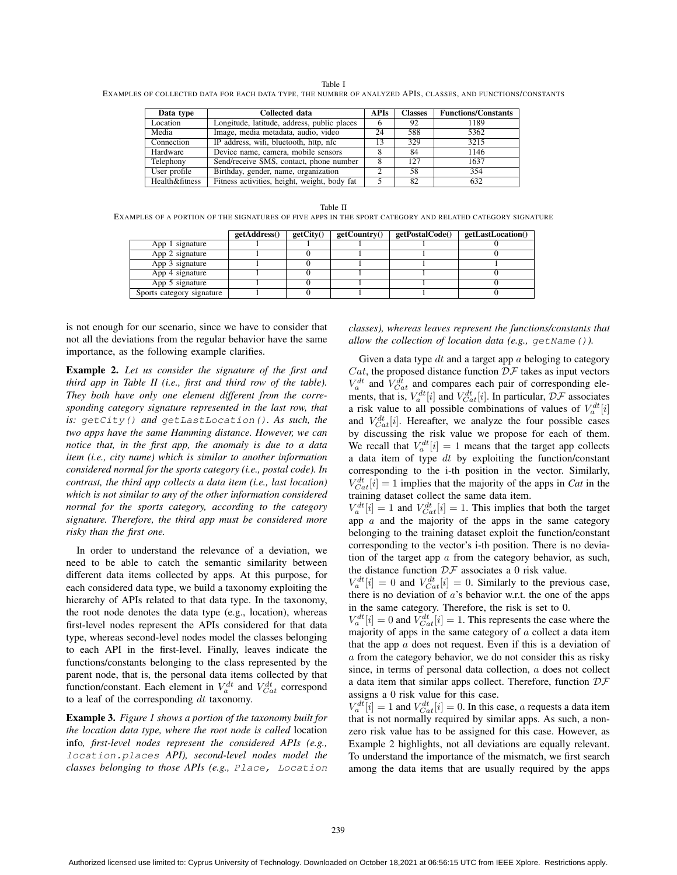Table I

EXAMPLES OF COLLECTED DATA FOR EACH DATA TYPE, THE NUMBER OF ANALYZED APIS, CLASSES, AND FUNCTIONS/CONSTANTS

| Data type      | Collected data                               | <b>APIs</b> | <b>Classes</b> | <b>Functions/Constants</b> |
|----------------|----------------------------------------------|-------------|----------------|----------------------------|
| Location       | Longitude, latitude, address, public places  |             | 92             | 1189                       |
| Media          | Image, media metadata, audio, video          | 24          | 588            | 5362                       |
| Connection     | IP address, wifi, bluetooth, http, nfc       | 13          | 329            | 3215                       |
| Hardware       | Device name, camera, mobile sensors          |             | 84             | 1146                       |
| Telephony      | Send/receive SMS, contact, phone number      |             | 127            | 1637                       |
| User profile   | Birthday, gender, name, organization         |             | 58             | 354                        |
| Health&fitness | Fitness activities, height, weight, body fat |             | 82             | 632                        |

Table II EXAMPLES OF A PORTION OF THE SIGNATURES OF FIVE APPS IN THE SPORT CATEGORY AND RELATED CATEGORY SIGNATURE

|                           | getAddress() | getCity() | getCountry() | getPostalCode() | getLastLocation() |
|---------------------------|--------------|-----------|--------------|-----------------|-------------------|
| App 1 signature           |              |           |              |                 |                   |
| App 2 signature           |              |           |              |                 |                   |
| App 3 signature           |              |           |              |                 |                   |
| App 4 signature           |              |           |              |                 |                   |
| App 5 signature           |              |           |              |                 |                   |
| Sports category signature |              |           |              |                 |                   |

is not enough for our scenario, since we have to consider that not all the deviations from the regular behavior have the same importance, as the following example clarifies.

Example 2. *Let us consider the signature of the first and third app in Table II (i.e., first and third row of the table). They both have only one element different from the corresponding category signature represented in the last row, that is:* getCity() *and* getLastLocation()*. As such, the two apps have the same Hamming distance. However, we can notice that, in the first app, the anomaly is due to a data item (i.e., city name) which is similar to another information considered normal for the sports category (i.e., postal code). In contrast, the third app collects a data item (i.e., last location) which is not similar to any of the other information considered normal for the sports category, according to the category signature. Therefore, the third app must be considered more risky than the first one.*

In order to understand the relevance of a deviation, we need to be able to catch the semantic similarity between different data items collected by apps. At this purpose, for each considered data type, we build a taxonomy exploiting the hierarchy of APIs related to that data type. In the taxonomy, the root node denotes the data type (e.g., location), whereas first-level nodes represent the APIs considered for that data type, whereas second-level nodes model the classes belonging to each API in the first-level. Finally, leaves indicate the functions/constants belonging to the class represented by the parent node, that is, the personal data items collected by that function/constant. Each element in  $V_a^{dt}$  and  $V_{Cat}^{dt}$  correspond to a leaf of the corresponding  $dt$  taxonomy.

Example 3. *Figure 1 shows a portion of the taxonomy built for the location data type, where the root node is called* location info*, first-level nodes represent the considered APIs (e.g.,* location.places *API), second-level nodes model the classes belonging to those APIs (e.g.,* Place, Location

*classes), whereas leaves represent the functions/constants that allow the collection of location data (e.g.,* getName()*).*

Given a data type  $dt$  and a target app  $a$  beloging to category  $Cat$ , the proposed distance function  $DF$  takes as input vectors  $V_a^{dt}$  and  $V_{Cat}^{dt}$  and compares each pair of corresponding elements, that is,  $V_a^{dt}[i]$  and  $V_{Cat}^{dt}[i]$ . In particular,  $\mathcal{DF}$  associates a risk value to all possible combinations of values of  $V_a^{dt}[i]$ and  $V_{Cat}^{dt}[i]$ . Hereafter, we analyze the four possible cases by discussing the risk value we propose for each of them. We recall that  $V_a^{dt}[i]=1$  means that the target app collects a data item of type  $dt$  by exploiting the function/constant corresponding to the i-th position in the vector. Similarly,  $V_{Cat}^{dt}[i] = 1$  implies that the majority of the apps in *Cat* in the training dataset collect the same data item.

 $V_a^{dt}[i] = 1$  and  $V_{Cat}^{dt}[i] = 1$ . This implies that both the target app  $a$  and the majority of the apps in the same category belonging to the training dataset exploit the function/constant corresponding to the vector's i-th position. There is no deviation of the target app  $a$  from the category behavior, as such, the distance function  $\mathcal{DF}$  associates a 0 risk value.

 $V_a^{dt}[i] = 0$  and  $V_{Cat}^{dt}[i] = 0$ . Similarly to the previous case, there is no deviation of  $a$ 's behavior w.r.t. the one of the apps in the same category. Therefore, the risk is set to 0.

 $V_a^{dt}[i] = 0$  and  $V_{Cat}^{dt}[i] = 1$ . This represents the case where the majority of apps in the same category of  $a$  collect a data item that the app  $a$  does not request. Even if this is a deviation of a from the category behavior, we do not consider this as risky since, in terms of personal data collection, a does not collect a data item that similar apps collect. Therefore, function  $\mathcal{DF}$ assigns a 0 risk value for this case.

 $V_a^{dt}[i] = 1$  and  $V_{Cat}^{dt}[i] = 0$ . In this case, a requests a data item that is not normally required by similar apps. As such, a nonzero risk value has to be assigned for this case. However, as Example 2 highlights, not all deviations are equally relevant. To understand the importance of the mismatch, we first search among the data items that are usually required by the apps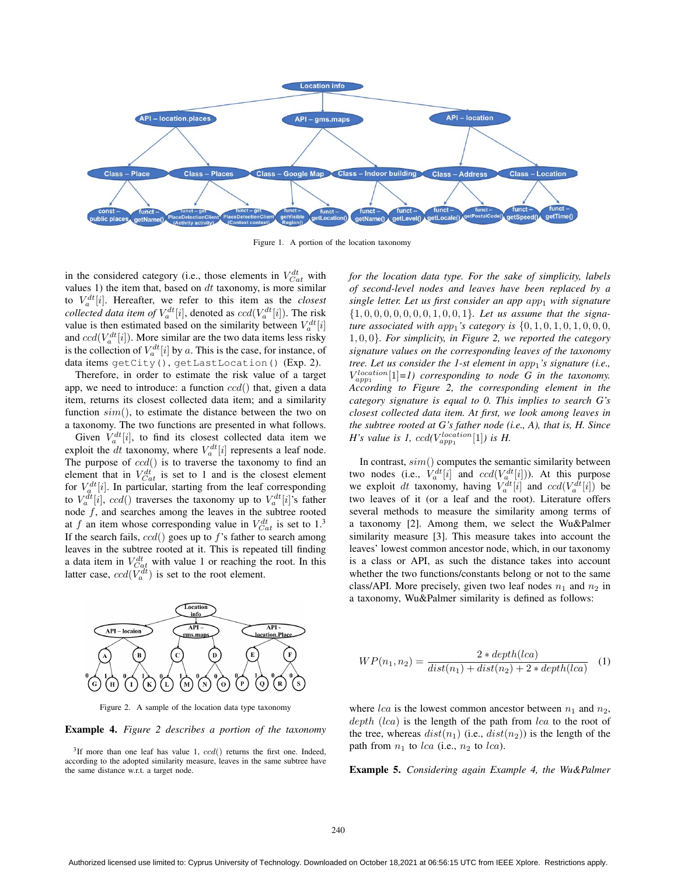

Figure 1. A portion of the location taxonomy

in the considered category (i.e., those elements in  $V_{Cat}^{dt}$  with values 1) the item that, based on  $dt$  taxonomy, is more similar to  $V_a^{dt}[i]$ . Hereafter, we refer to this item as the *closest collected data item of*  $V_a^{dt}[i]$ , denoted as  $ccd(V_a^{dt}[i])$ . The risk value is then estimated based on the similarity between  $V_a^{dt}[i]$ and  $ccd(V_a^{dt}[i])$ . More similar are the two data items less risky is the collection of  $V_a^{dt}[i]$  by a. This is the case, for instance, of data items getCity(), getLastLocation() (Exp. 2).

Therefore, in order to estimate the risk value of a target app, we need to introduce: a function  $ccd()$  that, given a data item, returns its closest collected data item; and a similarity function  $sim()$ , to estimate the distance between the two on a taxonomy. The two functions are presented in what follows.

Given  $V_a^{dt}[i]$ , to find its closest collected data item we exploit the  $dt$  taxonomy, where  $V_a^{dt}[i]$  represents a leaf node. The purpose of  $ccd()$  is to traverse the taxonomy to find an element that in  $V_{Cat}^{dt}$  is set to 1 and is the closest element for  $V_a^{dt}[i]$ . In particular, starting from the leaf corresponding to  $V_a^{dt}[i]$ ,  $ccd()$  traverses the taxonomy up to  $V_a^{dt}[i]$ 's father node  $f$ , and searches among the leaves in the subtree rooted at f an item whose corresponding value in  $V_{Cat}^{dt}$  is set to 1.<sup>3</sup> If the search fails,  $ccd()$  goes up to f's father to search among leaves in the subtree rooted at it. This is repeated till finding a data item in  $V_{Cat}^{dt}$  with value 1 or reaching the root. In this latter case,  $ccd(V_a^{dt})$  is set to the root element.



Figure 2. A sample of the location data type taxonomy

Example 4. *Figure 2 describes a portion of the taxonomy*

 $3$ If more than one leaf has value 1,  $ccd()$  returns the first one. Indeed, according to the adopted similarity measure, leaves in the same subtree have the same distance w.r.t. a target node.

*for the location data type. For the sake of simplicity, labels of second-level nodes and leaves have been replaced by a single letter. Let us first consider an app app<sub>1</sub> with signature* {1, 0, 0, 0, 0, 0, 0, 0, 1, 0, 0, 1}*. Let us assume that the signature associated with app*<sub>1</sub>'s *category is*  $\{0, 1, 0, 1, 0, 1, 0, 0, 0, 0\}$ 1, 0, 0}*. For simplicity, in Figure 2, we reported the category signature values on the corresponding leaves of the taxonomy tree. Let us consider the 1-st element in app<sub>1</sub>'s signature (i.e.,*  $V_{app1}^{location}[1]=1$ ) corresponding to node G in the taxonomy. *According to Figure 2, the corresponding element in the category signature is equal to 0. This implies to search G's closest collected data item. At first, we look among leaves in the subtree rooted at G's father node (i.e., A), that is, H. Since H*'s value is 1,  $ccd(V_{app1}^{location}[1])$  is *H*.

In contrast,  $sim()$  computes the semantic similarity between two nodes (i.e.,  $V_a^{dt}[i]$  and  $ccd(V_a^{dt}[i])$ ). At this purpose we exploit dt taxonomy, having  $V_a^{dt}[i]$  and  $ccd(V_a^{dt}[i])$  be two leaves of it (or a leaf and the root). Literature offers several methods to measure the similarity among terms of a taxonomy [2]. Among them, we select the Wu&Palmer similarity measure [3]. This measure takes into account the leaves' lowest common ancestor node, which, in our taxonomy is a class or API, as such the distance takes into account whether the two functions/constants belong or not to the same class/API. More precisely, given two leaf nodes  $n_1$  and  $n_2$  in a taxonomy, Wu&Palmer similarity is defined as follows:

$$
WP(n_1, n_2) = \frac{2 * depth(lca)}{dist(n_1) + dist(n_2) + 2 * depth(lca)} \quad (1)
$$

where  $lca$  is the lowest common ancestor between  $n_1$  and  $n_2$ ,  $depth (lca)$  is the length of the path from  $lca$  to the root of the tree, whereas  $dist(n_1)$  (i.e.,  $dist(n_2)$ ) is the length of the path from  $n_1$  to lca (i.e.,  $n_2$  to lca).

Example 5. *Considering again Example 4, the Wu&Palmer*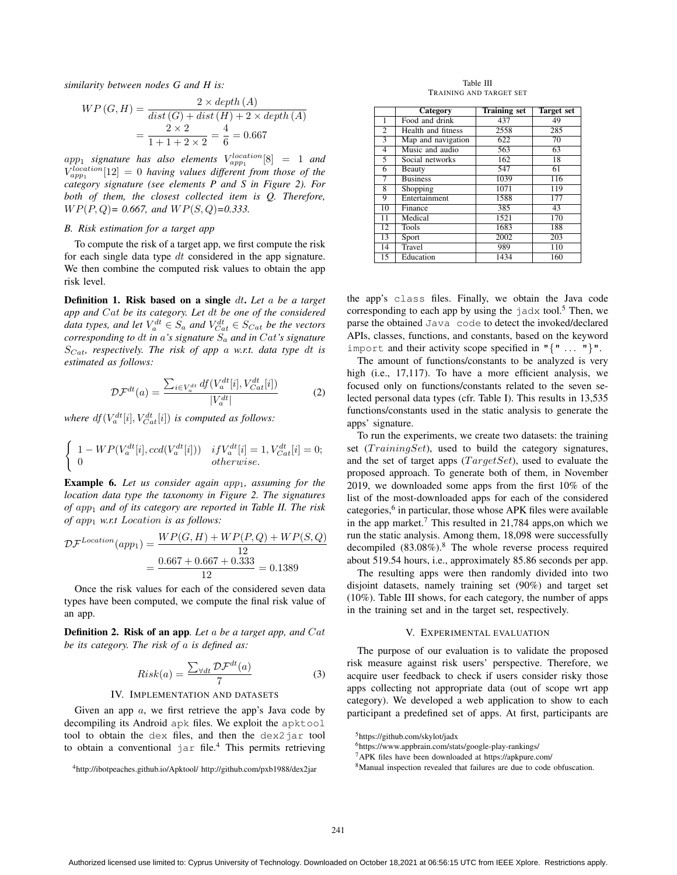*similarity between nodes G and H is:*

$$
WP(G, H) = \frac{2 \times depth (A)}{dist (G) + dist (H) + 2 \times depth (A)}
$$
  
=  $\frac{2 \times 2}{1 + 1 + 2 \times 2} = \frac{4}{6} = 0.667$ 

 $app_1$  *signature has also elements*  $V_{app_1}^{location}[8] = 1$  *and*  $V_{app1}^{location}[12] = 0$  *having values different from those of the category signature (see elements P and S in Figure 2). For both of them, the closest collected item is Q. Therefore,* W P(P, Q)*= 0.667, and* W P(S, Q)*=0.333.*

## *B. Risk estimation for a target app*

To compute the risk of a target app, we first compute the risk for each single data type  $dt$  considered in the app signature. We then combine the computed risk values to obtain the app risk level.

Definition 1. Risk based on a single dt. *Let* a *be a target app and* Cat *be its category. Let* dt *be one of the considered data types, and let*  $V_a^{dt} \in S_a$  *and*  $V_{Cat}^{dt} \in S_{Cat}$  *be the vectors corresponding to* dt *in* a*'s signature* S*<sup>a</sup> and in* Cat*'s signature* S*Cat, respectively. The risk of app* a *w.r.t. data type* dt *is estimated as follows:*

$$
\mathcal{DF}^{dt}(a) = \frac{\sum_{i \in V_a^{dt}} df(V_a^{dt}[i], V_{Cat}^{dt}[i])}{|V_a^{dt}|} \tag{2}
$$

*where*  $df(V_a^{dt}[i], V_{Cat}^{dt}[i])$  *is computed as follows:* 

$$
\begin{cases}\n1 - WP(V_a^{dt}[i], ccd(V_a^{dt}[i])) & if V_a^{dt}[i] = 1, V_{Cat}^{dt}[i] = 0; \\
0 & otherwise.\n\end{cases}
$$

**Example 6.** Let us consider again app<sub>1</sub>, assuming for the *location data type the taxonomy in Figure 2. The signatures of* app<sup>1</sup> *and of its category are reported in Table II. The risk of* app<sup>1</sup> *w.r.t* Location *is as follows:*

$$
\mathcal{DF}^{Location}(app_1) = \frac{WP(G, H) + WP(P, Q) + WP(S, Q)}{12}
$$

$$
= \frac{0.667 + 0.667 + 0.333}{12} = 0.1389
$$

Once the risk values for each of the considered seven data types have been computed, we compute the final risk value of an app.

Definition 2. Risk of an app*. Let* a *be a target app, and* Cat *be its category. The risk of* a *is defined as:*

$$
Risk(a) = \frac{\sum_{\forall dt} \mathcal{D}\mathcal{F}^{dt}(a)}{7}
$$
 (3)

#### IV. IMPLEMENTATION AND DATASETS

Given an app  $a$ , we first retrieve the app's Java code by decompiling its Android apk files. We exploit the apktool tool to obtain the dex files, and then the dex2jar tool to obtain a conventional jar file.<sup>4</sup> This permits retrieving

Table III TRAINING AND TARGET SET

|                | Category                               | <b>Training set</b> | <b>Target set</b> |
|----------------|----------------------------------------|---------------------|-------------------|
| 1              | Food and drink                         | 437                 | 49                |
| $\overline{2}$ | Health and fitness                     | 2558                | 285               |
| 3              | $\overline{\text{Map}}$ and navigation | 622                 | 70                |
| 4              | Music and audio                        | 563                 | 63                |
| 5              | Social networks                        | 162                 | 18                |
| 6              | Beauty                                 | 547                 | 61                |
| 7              | <b>Business</b>                        | 1039                | 116               |
| 8              | Shopping                               | 1071                | 119               |
| 9              | Entertainment                          | 1588                | 177               |
| 10             | Finance                                | 385                 | 43                |
| 11             | Medical                                | 1521                | 170               |
| 12             | <b>Tools</b>                           | 1683                | 188               |
| 13             | Sport                                  | 2002                | 203               |
| 14             | Travel                                 | 989                 | 110               |
| 15             | Education                              | 1434                | 160               |

the app's class files. Finally, we obtain the Java code corresponding to each app by using the  $j$  adx tool.<sup>5</sup> Then, we parse the obtained Java code to detect the invoked/declared APIs, classes, functions, and constants, based on the keyword import and their activity scope specified in  $"\{$  "... " $}"$ ".

The amount of functions/constants to be analyzed is very high (i.e., 17,117). To have a more efficient analysis, we focused only on functions/constants related to the seven selected personal data types (cfr. Table I). This results in 13,535 functions/constants used in the static analysis to generate the apps' signature.

To run the experiments, we create two datasets: the training set  $(TrainingSet)$ , used to build the category signatures, and the set of target apps  $(TargetSet)$ , used to evaluate the proposed approach. To generate both of them, in November 2019, we downloaded some apps from the first 10% of the list of the most-downloaded apps for each of the considered categories, $6$  in particular, those whose APK files were available in the app market.<sup>7</sup> This resulted in 21,784 apps, on which we run the static analysis. Among them, 18,098 were successfully decompiled  $(83.08\%)$ .<sup>8</sup> The whole reverse process required about 519.54 hours, i.e., approximately 85.86 seconds per app.

The resulting apps were then randomly divided into two disjoint datasets, namely training set (90%) and target set (10%). Table III shows, for each category, the number of apps in the training set and in the target set, respectively.

# V. EXPERIMENTAL EVALUATION

The purpose of our evaluation is to validate the proposed risk measure against risk users' perspective. Therefore, we acquire user feedback to check if users consider risky those apps collecting not appropriate data (out of scope wrt app category). We developed a web application to show to each participant a predefined set of apps. At first, participants are

<sup>4</sup>http://ibotpeaches.github.io/Apktool/ http://github.com/pxb1988/dex2jar

<sup>5</sup>https://github.com/skylot/jadx

<sup>6</sup>https://www.appbrain.com/stats/google-play-rankings/

<sup>7</sup>APK files have been downloaded at https://apkpure.com/

<sup>8</sup>Manual inspection revealed that failures are due to code obfuscation.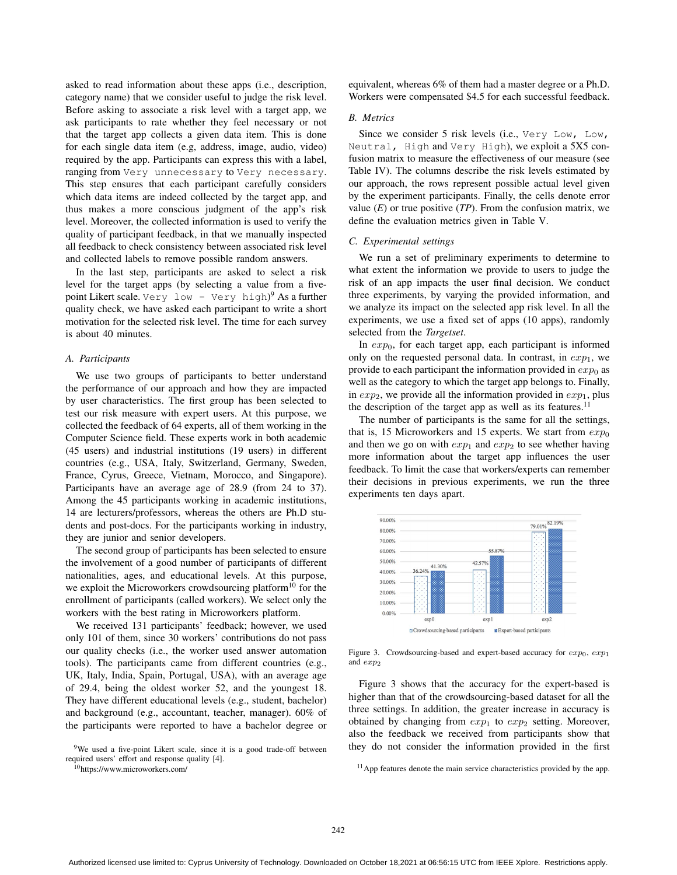asked to read information about these apps (i.e., description, category name) that we consider useful to judge the risk level. Before asking to associate a risk level with a target app, we ask participants to rate whether they feel necessary or not that the target app collects a given data item. This is done for each single data item (e.g, address, image, audio, video) required by the app. Participants can express this with a label, ranging from Very unnecessary to Very necessary. This step ensures that each participant carefully considers which data items are indeed collected by the target app, and thus makes a more conscious judgment of the app's risk level. Moreover, the collected information is used to verify the quality of participant feedback, in that we manually inspected all feedback to check consistency between associated risk level and collected labels to remove possible random answers.

In the last step, participants are asked to select a risk level for the target apps (by selecting a value from a fivepoint Likert scale. Very low - Very high) <sup>9</sup> As a further quality check, we have asked each participant to write a short motivation for the selected risk level. The time for each survey is about 40 minutes.

# *A. Participants*

We use two groups of participants to better understand the performance of our approach and how they are impacted by user characteristics. The first group has been selected to test our risk measure with expert users. At this purpose, we collected the feedback of 64 experts, all of them working in the Computer Science field. These experts work in both academic (45 users) and industrial institutions (19 users) in different countries (e.g., USA, Italy, Switzerland, Germany, Sweden, France, Cyrus, Greece, Vietnam, Morocco, and Singapore). Participants have an average age of 28.9 (from 24 to 37). Among the 45 participants working in academic institutions, 14 are lecturers/professors, whereas the others are Ph.D students and post-docs. For the participants working in industry, they are junior and senior developers.

The second group of participants has been selected to ensure the involvement of a good number of participants of different nationalities, ages, and educational levels. At this purpose, we exploit the Microworkers crowdsourcing platform<sup>10</sup> for the enrollment of participants (called workers). We select only the workers with the best rating in Microworkers platform.

We received 131 participants' feedback; however, we used only 101 of them, since 30 workers' contributions do not pass our quality checks (i.e., the worker used answer automation tools). The participants came from different countries (e.g., UK, Italy, India, Spain, Portugal, USA), with an average age of 29.4, being the oldest worker 52, and the youngest 18. They have different educational levels (e.g., student, bachelor) and background (e.g., accountant, teacher, manager). 60% of the participants were reported to have a bachelor degree or

9We used a five-point Likert scale, since it is a good trade-off between required users' effort and response quality [4].

10https://www.microworkers.com/

equivalent, whereas 6% of them had a master degree or a Ph.D. Workers were compensated \$4.5 for each successful feedback.

# *B. Metrics*

Since we consider 5 risk levels (i.e., Very Low, Low, Neutral, High and Very High), we exploit a 5X5 confusion matrix to measure the effectiveness of our measure (see Table IV). The columns describe the risk levels estimated by our approach, the rows represent possible actual level given by the experiment participants. Finally, the cells denote error value  $(E)$  or true positive  $(TP)$ . From the confusion matrix, we define the evaluation metrics given in Table V.

#### *C. Experimental settings*

We run a set of preliminary experiments to determine to what extent the information we provide to users to judge the risk of an app impacts the user final decision. We conduct three experiments, by varying the provided information, and we analyze its impact on the selected app risk level. In all the experiments, we use a fixed set of apps (10 apps), randomly selected from the *Targetset*.

In  $exp<sub>0</sub>$ , for each target app, each participant is informed only on the requested personal data. In contrast, in  $exp<sub>1</sub>$ , we provide to each participant the information provided in  $exp_0$  as well as the category to which the target app belongs to. Finally, in  $exp_2$ , we provide all the information provided in  $exp_1$ , plus the description of the target app as well as its features.<sup>11</sup>

The number of participants is the same for all the settings, that is, 15 Microworkers and 15 experts. We start from  $exp_0$ and then we go on with  $exp_1$  and  $exp_2$  to see whether having more information about the target app influences the user feedback. To limit the case that workers/experts can remember their decisions in previous experiments, we run the three experiments ten days apart.



Figure 3. Crowdsourcing-based and expert-based accuracy for  $exp_0$ ,  $exp_1$ and  $exp<sub>2</sub>$ 

Figure 3 shows that the accuracy for the expert-based is higher than that of the crowdsourcing-based dataset for all the three settings. In addition, the greater increase in accuracy is obtained by changing from  $exp_1$  to  $exp_2$  setting. Moreover, also the feedback we received from participants show that they do not consider the information provided in the first

<sup>&</sup>lt;sup>11</sup> App features denote the main service characteristics provided by the app.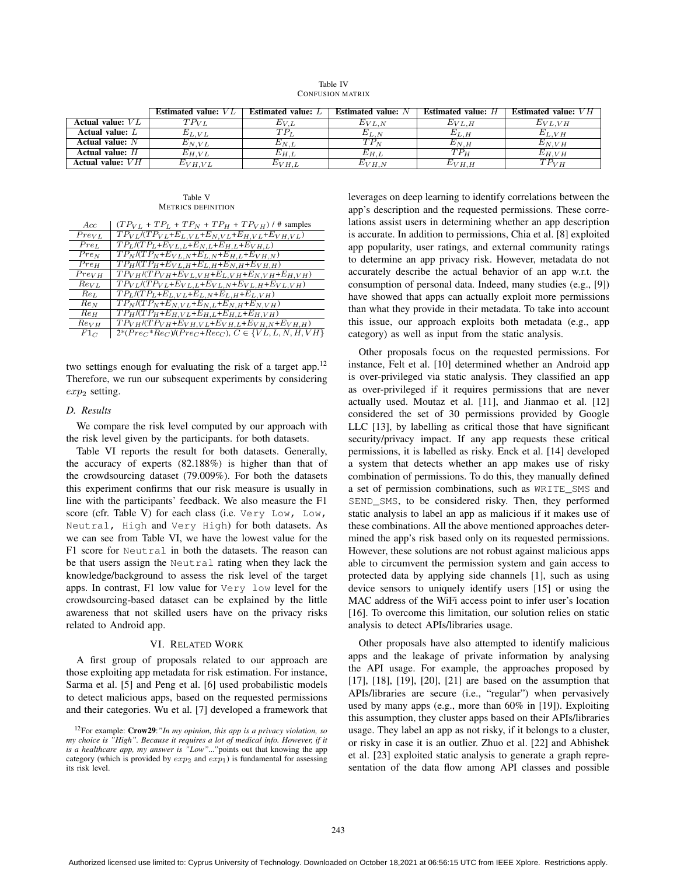| Table IV                |  |
|-------------------------|--|
| <b>CONFUSION MATRIX</b> |  |

|                    | Estimated value: $VL$ | Estimated value: $L$ | Estimated value: $N$ | <b>Estimated value:</b> H | Estimated value: $VH$ |
|--------------------|-----------------------|----------------------|----------------------|---------------------------|-----------------------|
| Actual value: $VL$ | $\tau P_{VL}$         | $E_{V.L}$            | $E_{VL,N}$           | $E_{V}L$ .H               | $E_{V L, V H}$        |
| Actual value: $L$  | $E_{L.VL}$            | $TP_{\rm i}$         | $E_{L,N}$            | $E_{L,H}$                 | $E_{L,VH}$            |
| Actual value: $N$  | $E_{N,VL}$            | $E_{N.L}$            | $TP_N$               | $E_{N.H}$                 | $E_{N,VH}$            |
| Actual value: $H$  | $E_{H,VL}$            | $E_{H.L}$            | $E_{H.L}$            | $TP_{\rm H}$              | $E_{H.VH}$            |
| Actual value: $VH$ | $E_{VH.VL}$           | $E_{VH.L}$           | $E_{VH,N}$           | $E_{VH,H}$                | $TP_{VH}$             |

#### Table V METRICS DEFINITION

| Acc              | $(TP_{VL} + TP_L + TP_N + TP_H + TP_{VH})$ / # samples                                                   |
|------------------|----------------------------------------------------------------------------------------------------------|
| $Pre_{VI.}$      | $TP_{VL}/(TP_{VL}+E_{L,VL}+E_{N,VL}+E_{H,VL}+E_{VH,VL})$                                                 |
| Pre <sub>L</sub> | $TP_L$ /(TP <sub>L</sub> +E <sub>VL,L</sub> +E <sub>N,L</sub> +E <sub>H,L</sub> +E <sub>VH,L</sub> )     |
| Pre <sub>N</sub> | $TP_N/(TP_N+E_{VL,N}+E_{L,N}+E_{H,L}+E_{VH,N})$                                                          |
| Pre <sub>H</sub> | $TP_H/(TP_H+E_{VL,H}+E_{L,H}+E_{N,H}+E_{VH,H})$                                                          |
| $Pre_{VH}$       | $TPVH$ /(TP <sub>VH</sub> +E <sub>VL,VH</sub> +E <sub>L,VH</sub> +E <sub>N,VH</sub> +E <sub>H,VH</sub> ) |
| $Re_{VL}$        | $TP_{VL}/(TP_{VL}+E_{VL,L}+E_{VL,N}+E_{VL,H}+E_{VL,VH})$                                                 |
| $Re_L$           | $TP_L$ /(TP <sub>L</sub> +E <sub>L,VL</sub> +E <sub>L,N</sub> +E <sub>L,H</sub> +E <sub>L,VH</sub> )     |
| $Re_N$           | $TP_N/(TP_N+E_{N,VL}+E_{N,L}+E_{N,H}+E_{N,VH})$                                                          |
| Re <sub>H</sub>  | $TP_H/(TP_H+E_{H,VL}+E_{H,L}+E_{H,L}+E_{H,VH})$                                                          |
| $Re_{VH}$        | $TPVH/(TPVH+EVH,VL+EVH,L+EVH,N+EVH,H)$                                                                   |
| $F1_C$           | $2*(Pre_C * Re_C)/(Pre_C + Rec_C), C \in \{VL, L, N, H, VH\}$                                            |

two settings enough for evaluating the risk of a target app.<sup>12</sup> Therefore, we run our subsequent experiments by considering  $exp<sub>2</sub>$  setting.

## *D. Results*

We compare the risk level computed by our approach with the risk level given by the participants. for both datasets.

Table VI reports the result for both datasets. Generally, the accuracy of experts (82.188%) is higher than that of the crowdsourcing dataset (79.009%). For both the datasets this experiment confirms that our risk measure is usually in line with the participants' feedback. We also measure the F1 score (cfr. Table V) for each class (i.e. Very Low, Low, Neutral, High and Very High) for both datasets. As we can see from Table VI, we have the lowest value for the F1 score for Neutral in both the datasets. The reason can be that users assign the Neutral rating when they lack the knowledge/background to assess the risk level of the target apps. In contrast, F1 low value for Very low level for the crowdsourcing-based dataset can be explained by the little awareness that not skilled users have on the privacy risks related to Android app.

# VI. RELATED WORK

A first group of proposals related to our approach are those exploiting app metadata for risk estimation. For instance, Sarma et al. [5] and Peng et al. [6] used probabilistic models to detect malicious apps, based on the requested permissions and their categories. Wu et al. [7] developed a framework that leverages on deep learning to identify correlations between the app's description and the requested permissions. These correlations assist users in determining whether an app description is accurate. In addition to permissions, Chia et al. [8] exploited app popularity, user ratings, and external community ratings to determine an app privacy risk. However, metadata do not accurately describe the actual behavior of an app w.r.t. the consumption of personal data. Indeed, many studies (e.g., [9]) have showed that apps can actually exploit more permissions than what they provide in their metadata. To take into account this issue, our approach exploits both metadata (e.g., app category) as well as input from the static analysis.

Other proposals focus on the requested permissions. For instance, Felt et al. [10] determined whether an Android app is over-privileged via static analysis. They classified an app as over-privileged if it requires permissions that are never actually used. Moutaz et al. [11], and Jianmao et al. [12] considered the set of 30 permissions provided by Google LLC [13], by labelling as critical those that have significant security/privacy impact. If any app requests these critical permissions, it is labelled as risky. Enck et al. [14] developed a system that detects whether an app makes use of risky combination of permissions. To do this, they manually defined a set of permission combinations, such as WRITE\_SMS and SEND\_SMS, to be considered risky. Then, they performed static analysis to label an app as malicious if it makes use of these combinations. All the above mentioned approaches determined the app's risk based only on its requested permissions. However, these solutions are not robust against malicious apps able to circumvent the permission system and gain access to protected data by applying side channels [1], such as using device sensors to uniquely identify users [15] or using the MAC address of the WiFi access point to infer user's location [16]. To overcome this limitation, our solution relies on static analysis to detect APIs/libraries usage.

Other proposals have also attempted to identify malicious apps and the leakage of private information by analysing the API usage. For example, the approaches proposed by [17], [18], [19], [20], [21] are based on the assumption that APIs/libraries are secure (i.e., "regular") when pervasively used by many apps (e.g., more than 60% in [19]). Exploiting this assumption, they cluster apps based on their APIs/libraries usage. They label an app as not risky, if it belongs to a cluster, or risky in case it is an outlier. Zhuo et al. [22] and Abhishek et al. [23] exploited static analysis to generate a graph representation of the data flow among API classes and possible

<sup>12</sup>For example: Crow29:*"In my opinion, this app is a privacy violation, so my choice is "High". Because it requires a lot of medical info. However, if it is a healthcare app, my answer is "Low"..."*points out that knowing the app category (which is provided by  $exp_2$  and  $exp_1$ ) is fundamental for assessing its risk level.